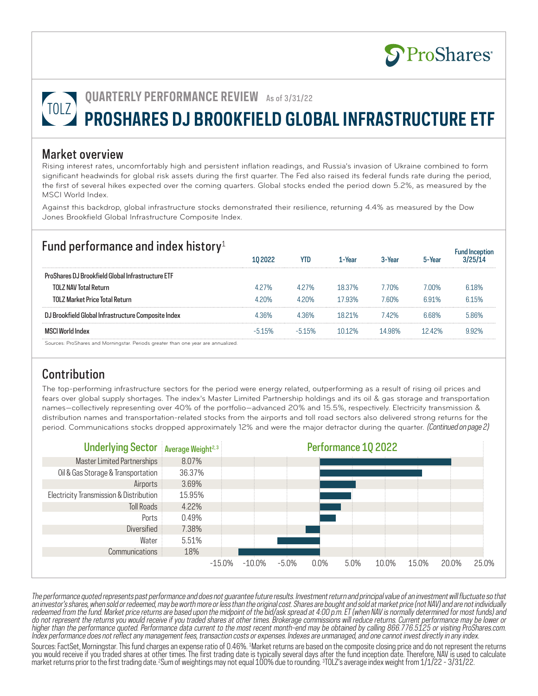Fund Inception

# **QUARTERLY PERFORMANCE REVIEW** As of 3/31/22 **PROSHARES DJ BROOKFIELD GLOBAL INFRASTRUCTURE ETF**

#### Market overview

Rising interest rates, uncomfortably high and persistent inflation readings, and Russia's invasion of Ukraine combined to form significant headwinds for global risk assets during the first quarter. The Fed also raised its federal funds rate during the period, the first of several hikes expected over the coming quarters. Global stocks ended the period down 5.2%, as measured by the MSCI World Index.

Against this backdrop, global infrastructure stocks demonstrated their resilience, returning 4.4% as measured by the Dow Jones Brookfield Global Infrastructure Composite Index.

## Fund performance and index history<sup>1</sup>

|                                                                                   |      |         | -Year  | 3-Year |         |      |
|-----------------------------------------------------------------------------------|------|---------|--------|--------|---------|------|
| ProShares DJ Brookfield Global Infrastructure ETF                                 |      |         |        |        |         |      |
| <b>TOLZ NAV Total Return</b>                                                      | 427% | 4 2 7 % | 18.37% | 70%    | በበ%     | 618% |
| TOLZ Market Price Total Return                                                    | 420% | 4 20%   | 793%   | 60%    | 6 91%   | 615% |
| ookfield Global Infrastructure Composite Index <sup>.</sup>                       |      |         | 18 21% | 42%    | i 68%   | 86%  |
| . World Index<br>MSO                                                              | .5%  | 15%     | 12%    |        | l 2 42% |      |
| Sources: ProShares and Morningstar. Periods greater than one year are annualized. |      |         |        |        |         |      |

Sources: ProShares and Morningstar. Periods greater than one year are annualized.

## **Contribution**

The top-performing infrastructure sectors for the period were energy related, outperforming as a result of rising oil prices and fears over global supply shortages. The index's Master Limited Partnership holdings and its oil & gas storage and transportation names—collectively representing over 40% of the portfolio—advanced 20% and 15.5%, respectively. Electricity transmission & distribution names and transportation-related stocks from the airports and toll road sectors also delivered strong returns for the period. Communications stocks dropped approximately 12% and were the major detractor during the quarter. (Continued on page 2)



The performance quoted represents past performance and does not guarantee future results. Investment return and principal value of an investment will fluctuate so that an investor's shares, when sold or redeemed, may be worth more or less than the original cost. Shares are bought and sold at market price (not NAV) and are not individually redeemed from the fund. Market price returns are based upon the midpoint of the bid/ask spread at 4:00 p.m. ET (when NAV is normally determined for most funds) and do not represent the returns you would receive if you traded shares at other times. Brokerage commissions will reduce returns. Current performance may be lower or higher than the performance quoted. Performance data current to the most recent month-end may be obtained by calling 866.776.5125 or visiting ProShares.com. Index performance does not reflect any management fees, transaction costs or expenses. Indexes are unmanaged, and one cannot invest directly in any index.

Sources: FactSet, Morningstar. This fund charges an expense ratio of 0.46%. 1 Market returns are based on the composite closing price and do not represent the returns you would receive if you traded shares at other times. The first trading date is typically several days after the fund inception date. Therefore, NAV is used to calculate market returns prior to the first trading date. 2Sum of weightings may not equal 100% due to rounding. 3 TOLZ's average index weight from 1/1/22 - 3/31/22.